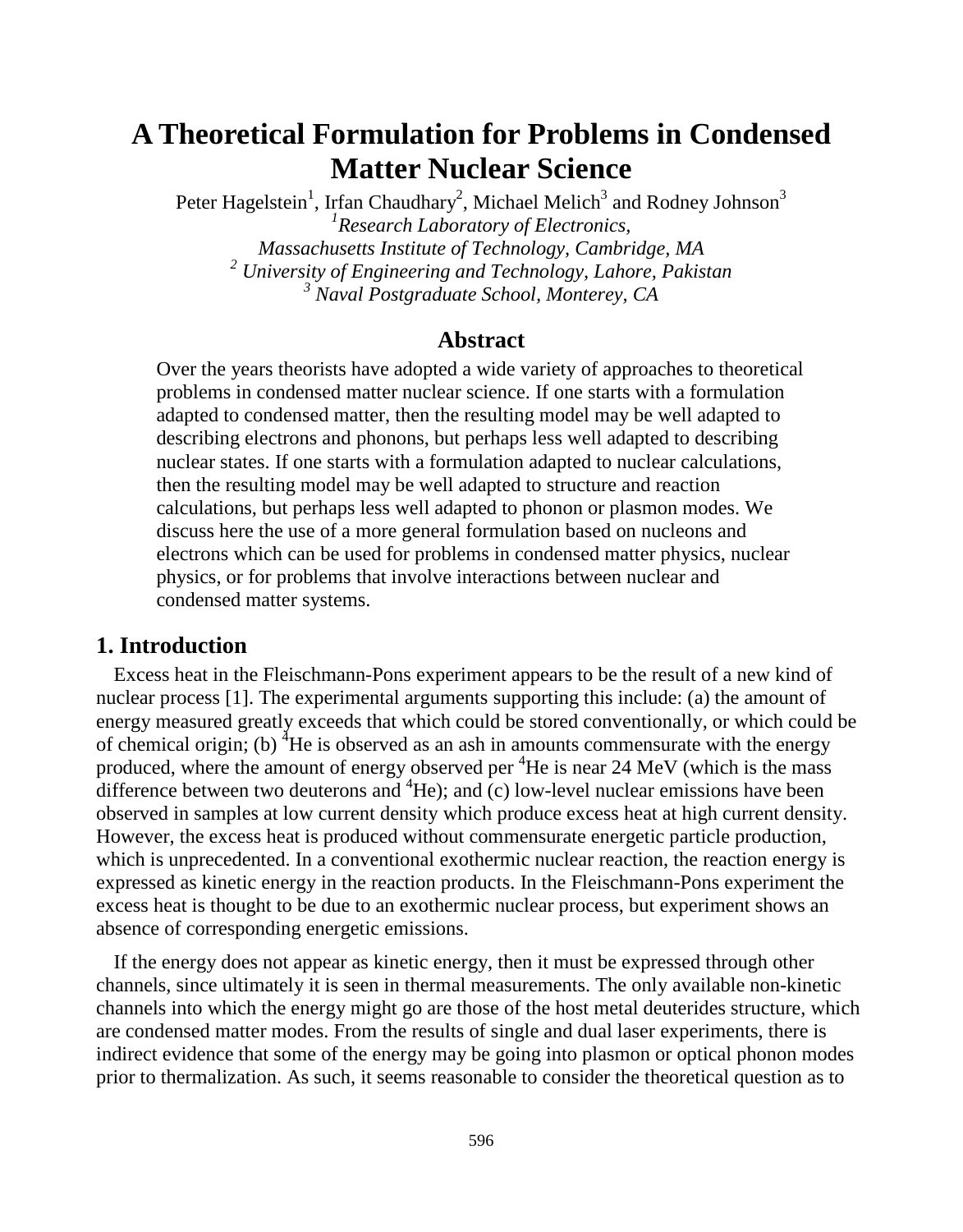# **A Theoretical Formulation for Problems in Condensed Matter Nuclear Science**

Peter Hagelstein<sup>1</sup>, Irfan Chaudhary<sup>2</sup>, Michael Melich<sup>3</sup> and Rodney Johnson<sup>3</sup> *1 Research Laboratory of Electronics, Massachusetts Institute of Technology, Cambridge, MA <sup>2</sup> University of Engineering and Technology, Lahore, Pakistan <sup>3</sup> Naval Postgraduate School, Monterey, CA*

## **Abstract**

Over the years theorists have adopted a wide variety of approaches to theoretical problems in condensed matter nuclear science. If one starts with a formulation adapted to condensed matter, then the resulting model may be well adapted to describing electrons and phonons, but perhaps less well adapted to describing nuclear states. If one starts with a formulation adapted to nuclear calculations, then the resulting model may be well adapted to structure and reaction calculations, but perhaps less well adapted to phonon or plasmon modes. We discuss here the use of a more general formulation based on nucleons and electrons which can be used for problems in condensed matter physics, nuclear physics, or for problems that involve interactions between nuclear and condensed matter systems.

## **1. Introduction**

Excess heat in the Fleischmann-Pons experiment appears to be the result of a new kind of nuclear process [1]. The experimental arguments supporting this include: (a) the amount of energy measured greatly exceeds that which could be stored conventionally, or which could be of chemical origin; (b)  ${}^4$ He is observed as an ash in amounts commensurate with the energy produced, where the amount of energy observed per  ${}^{4}$ He is near 24 MeV (which is the mass difference between two deuterons and  ${}^{4}$ He); and (c) low-level nuclear emissions have been observed in samples at low current density which produce excess heat at high current density. However, the excess heat is produced without commensurate energetic particle production, which is unprecedented. In a conventional exothermic nuclear reaction, the reaction energy is expressed as kinetic energy in the reaction products. In the Fleischmann-Pons experiment the excess heat is thought to be due to an exothermic nuclear process, but experiment shows an absence of corresponding energetic emissions.

If the energy does not appear as kinetic energy, then it must be expressed through other channels, since ultimately it is seen in thermal measurements. The only available non-kinetic channels into which the energy might go are those of the host metal deuterides structure, which are condensed matter modes. From the results of single and dual laser experiments, there is indirect evidence that some of the energy may be going into plasmon or optical phonon modes prior to thermalization. As such, it seems reasonable to consider the theoretical question as to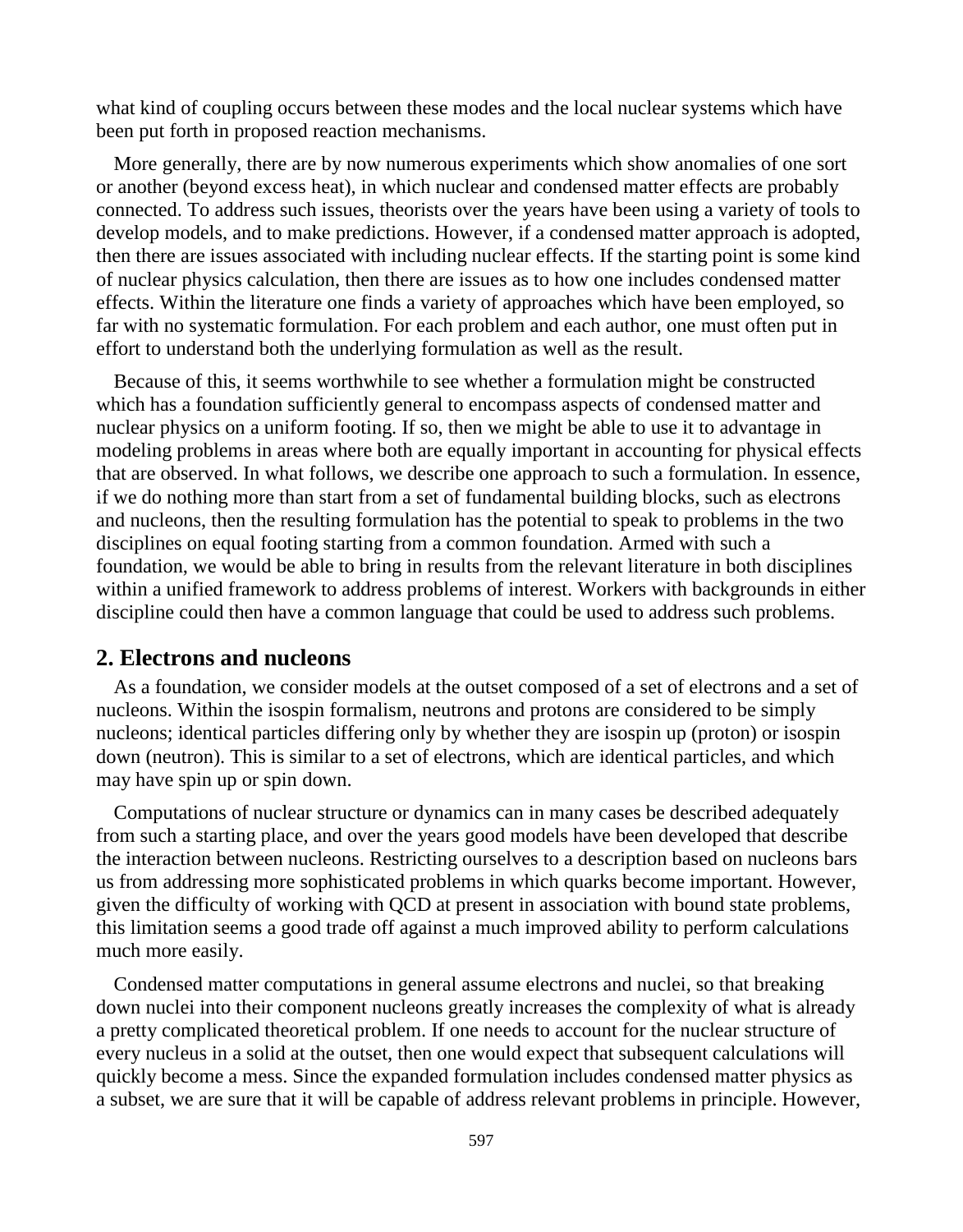what kind of coupling occurs between these modes and the local nuclear systems which have been put forth in proposed reaction mechanisms.

More generally, there are by now numerous experiments which show anomalies of one sort or another (beyond excess heat), in which nuclear and condensed matter effects are probably connected. To address such issues, theorists over the years have been using a variety of tools to develop models, and to make predictions. However, if a condensed matter approach is adopted, then there are issues associated with including nuclear effects. If the starting point is some kind of nuclear physics calculation, then there are issues as to how one includes condensed matter effects. Within the literature one finds a variety of approaches which have been employed, so far with no systematic formulation. For each problem and each author, one must often put in effort to understand both the underlying formulation as well as the result.

Because of this, it seems worthwhile to see whether a formulation might be constructed which has a foundation sufficiently general to encompass aspects of condensed matter and nuclear physics on a uniform footing. If so, then we might be able to use it to advantage in modeling problems in areas where both are equally important in accounting for physical effects that are observed. In what follows, we describe one approach to such a formulation. In essence, if we do nothing more than start from a set of fundamental building blocks, such as electrons and nucleons, then the resulting formulation has the potential to speak to problems in the two disciplines on equal footing starting from a common foundation. Armed with such a foundation, we would be able to bring in results from the relevant literature in both disciplines within a unified framework to address problems of interest. Workers with backgrounds in either discipline could then have a common language that could be used to address such problems.

## **2. Electrons and nucleons**

As a foundation, we consider models at the outset composed of a set of electrons and a set of nucleons. Within the isospin formalism, neutrons and protons are considered to be simply nucleons; identical particles differing only by whether they are isospin up (proton) or isospin down (neutron). This is similar to a set of electrons, which are identical particles, and which may have spin up or spin down.

Computations of nuclear structure or dynamics can in many cases be described adequately from such a starting place, and over the years good models have been developed that describe the interaction between nucleons. Restricting ourselves to a description based on nucleons bars us from addressing more sophisticated problems in which quarks become important. However, given the difficulty of working with QCD at present in association with bound state problems, this limitation seems a good trade off against a much improved ability to perform calculations much more easily.

Condensed matter computations in general assume electrons and nuclei, so that breaking down nuclei into their component nucleons greatly increases the complexity of what is already a pretty complicated theoretical problem. If one needs to account for the nuclear structure of every nucleus in a solid at the outset, then one would expect that subsequent calculations will quickly become a mess. Since the expanded formulation includes condensed matter physics as a subset, we are sure that it will be capable of address relevant problems in principle. However,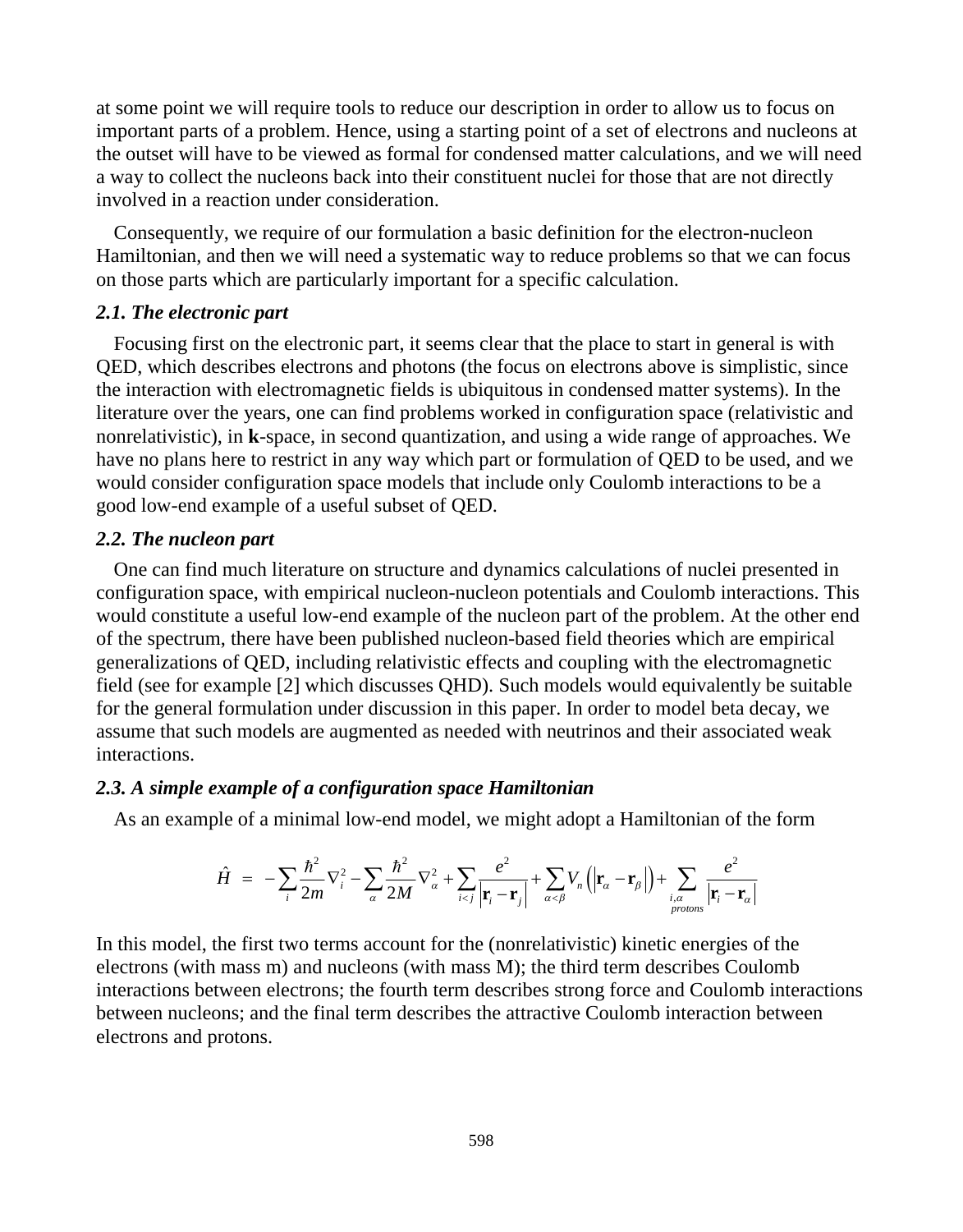at some point we will require tools to reduce our description in order to allow us to focus on important parts of a problem. Hence, using a starting point of a set of electrons and nucleons at the outset will have to be viewed as formal for condensed matter calculations, and we will need a way to collect the nucleons back into their constituent nuclei for those that are not directly involved in a reaction under consideration.

Consequently, we require of our formulation a basic definition for the electron-nucleon Hamiltonian, and then we will need a systematic way to reduce problems so that we can focus on those parts which are particularly important for a specific calculation.

## *2.1. The electronic part*

Focusing first on the electronic part, it seems clear that the place to start in general is with QED, which describes electrons and photons (the focus on electrons above is simplistic, since the interaction with electromagnetic fields is ubiquitous in condensed matter systems). In the literature over the years, one can find problems worked in configuration space (relativistic and nonrelativistic), in **k**-space, in second quantization, and using a wide range of approaches. We have no plans here to restrict in any way which part or formulation of QED to be used, and we would consider configuration space models that include only Coulomb interactions to be a good low-end example of a useful subset of QED.

## *2.2. The nucleon part*

One can find much literature on structure and dynamics calculations of nuclei presented in configuration space, with empirical nucleon-nucleon potentials and Coulomb interactions. This would constitute a useful low-end example of the nucleon part of the problem. At the other end of the spectrum, there have been published nucleon-based field theories which are empirical generalizations of QED, including relativistic effects and coupling with the electromagnetic field (see for example [2] which discusses QHD). Such models would equivalently be suitable for the general formulation under discussion in this paper. In order to model beta decay, we assume that such models are augmented as needed with neutrinos and their associated weak interactions.

## *2.3. A simple example of a configuration space Hamiltonian*

As an example of a minimal low-end model, we might adopt a Hamiltonian of the form

$$
\hat{H} = -\sum_{i} \frac{\hbar^2}{2m} \nabla_i^2 - \sum_{\alpha} \frac{\hbar^2}{2M} \nabla_{\alpha}^2 + \sum_{i < j} \frac{e^2}{|\mathbf{r}_i - \mathbf{r}_j|} + \sum_{\alpha < \beta} V_n \left( |\mathbf{r}_\alpha - \mathbf{r}_\beta| \right) + \sum_{\substack{i, \alpha \\ protons}} \frac{e^2}{|\mathbf{r}_i - \mathbf{r}_\alpha|}
$$

In this model, the first two terms account for the (nonrelativistic) kinetic energies of the electrons (with mass m) and nucleons (with mass M); the third term describes Coulomb interactions between electrons; the fourth term describes strong force and Coulomb interactions between nucleons; and the final term describes the attractive Coulomb interaction between electrons and protons.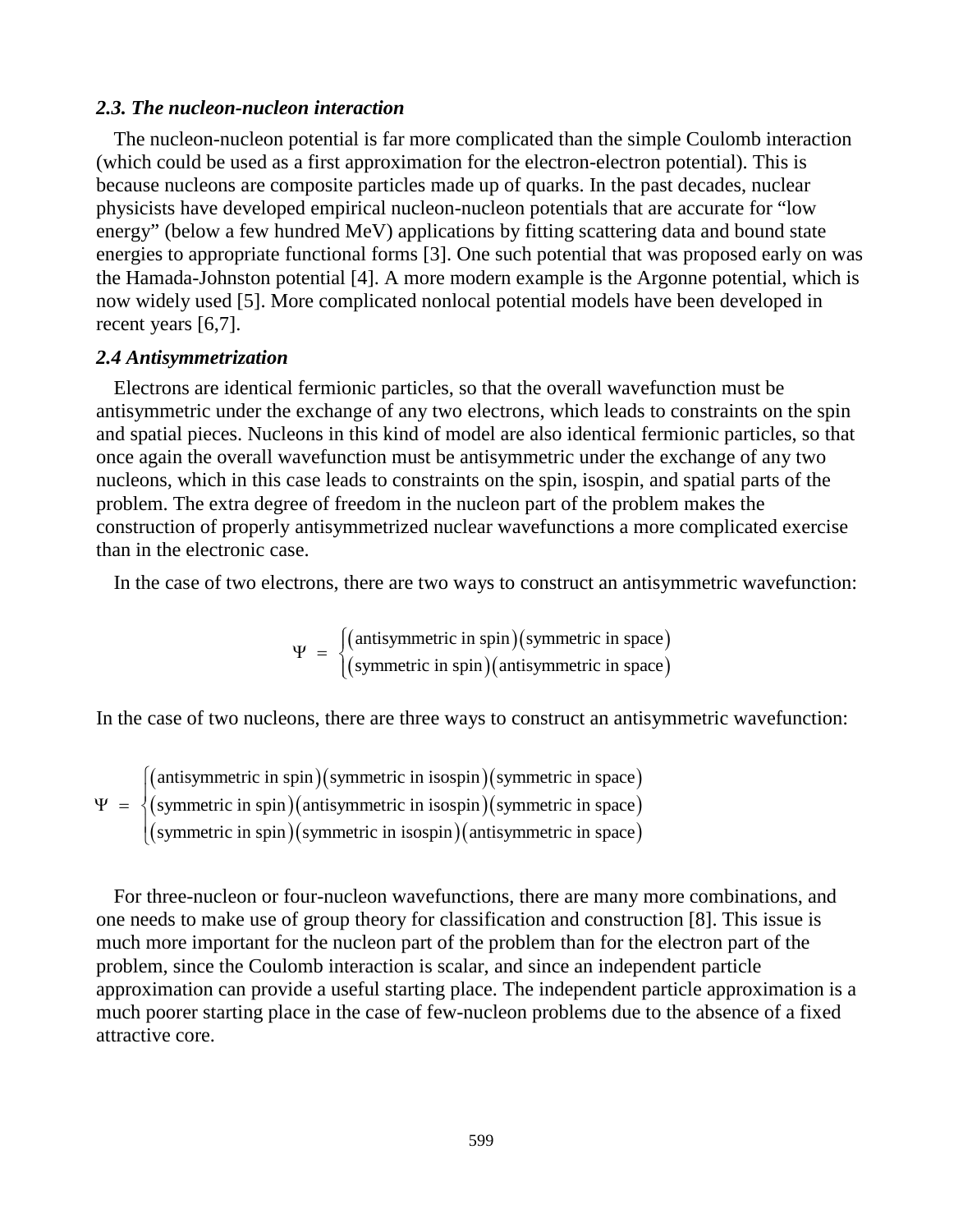#### *2.3. The nucleon-nucleon interaction*

The nucleon-nucleon potential is far more complicated than the simple Coulomb interaction (which could be used as a first approximation for the electron-electron potential). This is because nucleons are composite particles made up of quarks. In the past decades, nuclear physicists have developed empirical nucleon-nucleon potentials that are accurate for "low energy" (below a few hundred MeV) applications by fitting scattering data and bound state energies to appropriate functional forms [3]. One such potential that was proposed early on was the Hamada-Johnston potential [4]. A more modern example is the Argonne potential, which is now widely used [5]. More complicated nonlocal potential models have been developed in recent years [6,7].

#### *2.4 Antisymmetrization*

Electrons are identical fermionic particles, so that the overall wavefunction must be antisymmetric under the exchange of any two electrons, which leads to constraints on the spin and spatial pieces. Nucleons in this kind of model are also identical fermionic particles, so that once again the overall wavefunction must be antisymmetric under the exchange of any two nucleons, which in this case leads to constraints on the spin, isospin, and spatial parts of the problem. The extra degree of freedom in the nucleon part of the problem makes the construction of properly antisymmetrized nuclear wavefunctions a more complicated exercise than in the electronic case.

In the case of two electrons, there are two ways to construct an antisymmetric wavefunction:

 $(antisymmetric in spin)(symmetric in space)$ (symmetric in spin)(antisymmetric in space) antisymmetric in spin $(g)$ ymmetric in space $(g)$  $\Psi = \begin{cases} \text{(antisymmetric in spin)} \text{(symmetric in space)} \\ \text{(symmetric in spin)} \text{(antisymmetric in space)} \end{cases}$  $\overline{\mathcal{L}}$ 

In the case of two nucleons, there are three ways to construct an antisymmetric wavefunction:

 $(antisymmetric in spin)(symmetric in isospin)(symmetric in space)$ (symmetric in spin)(antisymmetric in isospin)(symmetric in space)  $(symmetric in spin)(symmetric in isospin)(antisymmetric in space)$ antisymmetric in spin)(symmetric in isospin)(symmetric in space) symmetric in spin)(antisymmetric in isospin)(symmetric in space) symmetric in spin)(symmetric in isospin)(antisymmetric in space)  $\int$  $\Psi = \begin{cases} 1 & \text{if } \Omega \leq 1 \\ 0 & \text{if } \Omega \leq 1 \end{cases}$  $\overline{\mathcal{L}}$ 

For three-nucleon or four-nucleon wavefunctions, there are many more combinations, and one needs to make use of group theory for classification and construction [8]. This issue is much more important for the nucleon part of the problem than for the electron part of the problem, since the Coulomb interaction is scalar, and since an independent particle approximation can provide a useful starting place. The independent particle approximation is a much poorer starting place in the case of few-nucleon problems due to the absence of a fixed attractive core.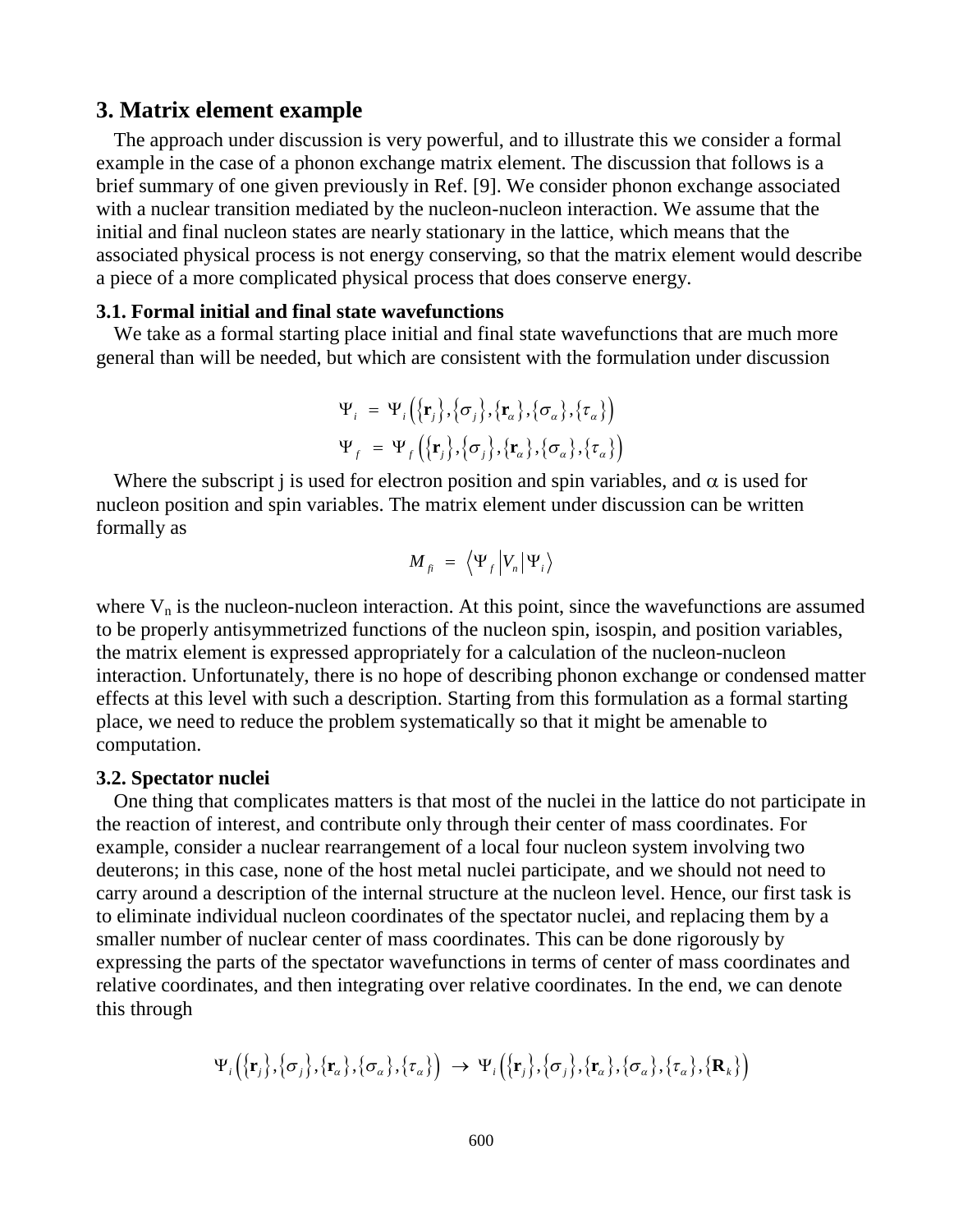## **3. Matrix element example**

The approach under discussion is very powerful, and to illustrate this we consider a formal example in the case of a phonon exchange matrix element. The discussion that follows is a brief summary of one given previously in Ref. [9]. We consider phonon exchange associated with a nuclear transition mediated by the nucleon-nucleon interaction. We assume that the initial and final nucleon states are nearly stationary in the lattice, which means that the associated physical process is not energy conserving, so that the matrix element would describe a piece of a more complicated physical process that does conserve energy.

## **3.1. Formal initial and final state wavefunctions**

We take as a formal starting place initial and final state wavefunctions that are much more general than will be needed, but which are consistent with the formulation under discussion

$$
\Psi_i = \Psi_i(\{\mathbf{r}_j\}, {\sigma_j\}, \{\mathbf{r}_\alpha\}, {\sigma_\alpha\}, \{\tau_\alpha\})
$$
  

$$
\Psi_f = \Psi_f(\{\mathbf{r}_j\}, {\sigma_j\}, \{\mathbf{r}_\alpha\}, {\sigma_\alpha\}, \{\tau_\alpha\})
$$

Where the subscript j is used for electron position and spin variables, and  $\alpha$  is used for nucleon position and spin variables. The matrix element under discussion can be written formally as

$$
M_{fi} = \langle \Psi_f | V_n | \Psi_i \rangle
$$

where  $V_n$  is the nucleon-nucleon interaction. At this point, since the wavefunctions are assumed to be properly antisymmetrized functions of the nucleon spin, isospin, and position variables, the matrix element is expressed appropriately for a calculation of the nucleon-nucleon interaction. Unfortunately, there is no hope of describing phonon exchange or condensed matter effects at this level with such a description. Starting from this formulation as a formal starting place, we need to reduce the problem systematically so that it might be amenable to computation.

#### **3.2. Spectator nuclei**

One thing that complicates matters is that most of the nuclei in the lattice do not participate in the reaction of interest, and contribute only through their center of mass coordinates. For example, consider a nuclear rearrangement of a local four nucleon system involving two deuterons; in this case, none of the host metal nuclei participate, and we should not need to carry around a description of the internal structure at the nucleon level. Hence, our first task is to eliminate individual nucleon coordinates of the spectator nuclei, and replacing them by a smaller number of nuclear center of mass coordinates. This can be done rigorously by expressing the parts of the spectator wavefunctions in terms of center of mass coordinates and relative coordinates, and then integrating over relative coordinates. In the end, we can denote this through

$$
\Psi_{i}\big(\big\{\!\mathbf{r}_{j}\big\},\big\{\sigma_{j}\big\},\big\{\mathbf{r}_{a}\big\},\big\{\sigma_{a}\big\},\big\{\tau_{a}\big\}\big)\bigg)\rightarrow\Psi_{i}\big(\big\{\!\mathbf{r}_{j}\big\},\big\{\sigma_{j}\big\},\big\{\mathbf{r}_{a}\big\},\big\{\sigma_{a}\big\},\big\{\tau_{a}\big\},\big\{\mathbf{R}_{k}\big\}\big)\bigg]
$$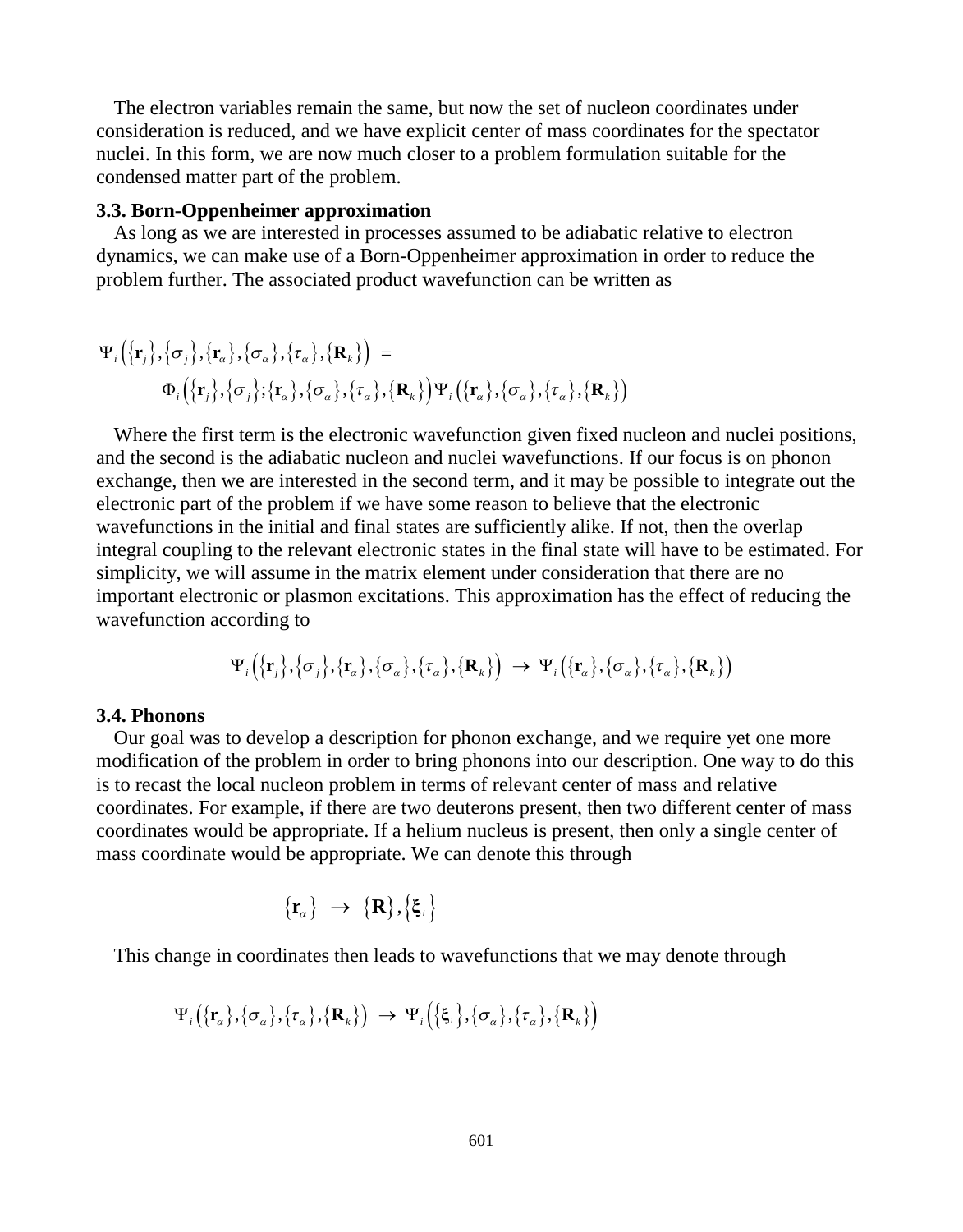The electron variables remain the same, but now the set of nucleon coordinates under consideration is reduced, and we have explicit center of mass coordinates for the spectator nuclei. In this form, we are now much closer to a problem formulation suitable for the condensed matter part of the problem.

#### **3.3. Born-Oppenheimer approximation**

As long as we are interested in processes assumed to be adiabatic relative to electron dynamics, we can make use of a Born-Oppenheimer approximation in order to reduce the problem further. The associated product wavefunction can be written as

$$
\Psi_i\Big(\big\{\mathbf{r}_j\big\},\big\{\sigma_j\big\},\big\{\mathbf{r}_\alpha\big\},\big\{\sigma_\alpha\big\},\big\{\mathbf{r}_\alpha\big\},\big\{\mathbf{R}_k\big\}\Big) = \n\Phi_i\Big(\big\{\mathbf{r}_j\big\},\big\{\sigma_j\big\};\big\{\mathbf{r}_\alpha\big\},\big\{\sigma_\alpha\big\},\big\{\mathbf{r}_\alpha\big\}\Big)\Psi_i\Big(\big\{\mathbf{r}_\alpha\big\},\big\{\sigma_\alpha\big\},\big\{\mathbf{R}_k\big\}\Big)
$$

Where the first term is the electronic wavefunction given fixed nucleon and nuclei positions, and the second is the adiabatic nucleon and nuclei wavefunctions. If our focus is on phonon exchange, then we are interested in the second term, and it may be possible to integrate out the electronic part of the problem if we have some reason to believe that the electronic wavefunctions in the initial and final states are sufficiently alike. If not, then the overlap integral coupling to the relevant electronic states in the final state will have to be estimated. For simplicity, we will assume in the matrix element under consideration that there are no important electronic or plasmon excitations. This approximation has the effect of reducing the wavefunction according to

$$
\Psi_i\big(\big\{{\bf r}_j\big\},\big\{\boldsymbol{\sigma}_j\big\},\big\{{\bf r}_a\big\},\big\{\boldsymbol{\sigma}_a\big\},\big\{\boldsymbol{\tau}_a\big\},\big\{{\bf R}_k\big\}\big\}\big)\,\rightarrow\,\Psi_i\big(\big\{{\bf r}_a\big\},\big\{\boldsymbol{\sigma}_a\big\},\big\{\boldsymbol{\tau}_a\big\},\big\{{\bf R}_k\big\}\big\}\big)
$$

#### **3.4. Phonons**

Our goal was to develop a description for phonon exchange, and we require yet one more modification of the problem in order to bring phonons into our description. One way to do this is to recast the local nucleon problem in terms of relevant center of mass and relative coordinates. For example, if there are two deuterons present, then two different center of mass coordinates would be appropriate. If a helium nucleus is present, then only a single center of mass coordinate would be appropriate. We can denote this through

$$
\{\mathbf r_{\!\scriptscriptstyle \alpha}\}\;\to\;\{\mathbf R\},\{\mathbf \xi_i\}
$$

This change in coordinates then leads to wavefunctions that we may denote through

$$
\Psi_i\big(\{\mathbf{r}_\alpha\},\{\sigma_\alpha\},\{\tau_\alpha\},\{\mathbf{R}_k\}\big) \rightarrow \Psi_i\big(\{\boldsymbol{\xi}_i\},\{\sigma_\alpha\},\{\tau_\alpha\},\{\mathbf{R}_k\}\big)
$$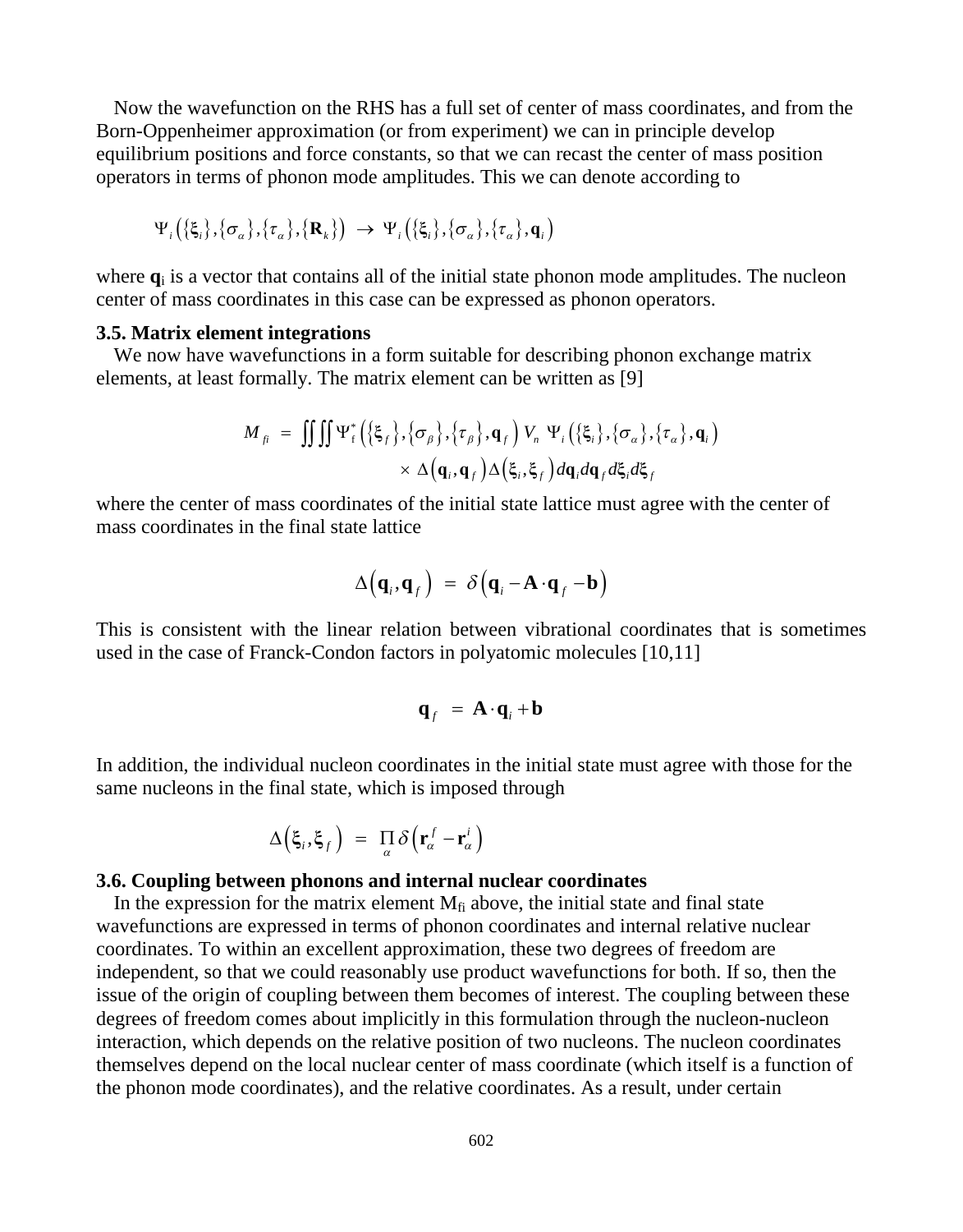Now the wavefunction on the RHS has a full set of center of mass coordinates, and from the Born-Oppenheimer approximation (or from experiment) we can in principle develop equilibrium positions and force constants, so that we can recast the center of mass position operators in terms of phonon mode amplitudes. This we can denote according to

$$
\Psi_{i}\big(\{\xi_{i}\},\{\sigma_{\alpha}\},\{\tau_{\alpha}\},\{\mathbf{R}_{k}\}\big) \rightarrow \Psi_{i}\big(\{\xi_{i}\},\{\sigma_{\alpha}\},\{\tau_{\alpha}\},\mathbf{q}_{i}\big)
$$

where **q**<sup>i</sup> is a vector that contains all of the initial state phonon mode amplitudes. The nucleon center of mass coordinates in this case can be expressed as phonon operators.

#### **3.5. Matrix element integrations**

We now have wavefunctions in a form suitable for describing phonon exchange matrix elements, at least formally. The matrix element can be written as [9]

$$
M_{fi} = \iiint \Psi_{f}^{*} \left( \{\xi_{f}\}, \{\sigma_{\beta}\}, \{\tau_{\beta}\}, \mathbf{q}_{f} \right) V_{n} \Psi_{i} \left( \{\xi_{i}\}, \{\sigma_{\alpha}\}, \{\tau_{\alpha}\}, \mathbf{q}_{i} \right) \times \Delta \left( \mathbf{q}_{i}, \mathbf{q}_{f} \right) \Delta \left( \xi_{i}, \xi_{f} \right) d\mathbf{q}_{i} d\mathbf{q}_{f} d\xi_{i} d\xi_{f}
$$

where the center of mass coordinates of the initial state lattice must agree with the center of mass coordinates in the final state lattice

$$
\Delta(\mathbf{q}_i, \mathbf{q}_f) = \delta(\mathbf{q}_i - \mathbf{A} \cdot \mathbf{q}_f - \mathbf{b})
$$

This is consistent with the linear relation between vibrational coordinates that is sometimes used in the case of Franck-Condon factors in polyatomic molecules [10,11]

$$
\mathbf{q}_f = \mathbf{A} \cdot \mathbf{q}_i + \mathbf{b}
$$

In addition, the individual nucleon coordinates in the initial state must agree with those for the same nucleons in the final state, which is imposed through

$$
\Delta\Big(\xi_i,\xi_f\Big) = \prod_{\alpha}\delta\Big(\mathbf{r}_{\alpha}^f-\mathbf{r}_{\alpha}^i\Big)
$$

#### **3.6. Coupling between phonons and internal nuclear coordinates**

In the expression for the matrix element  $M<sub>fi</sub>$  above, the initial state and final state wavefunctions are expressed in terms of phonon coordinates and internal relative nuclear coordinates. To within an excellent approximation, these two degrees of freedom are independent, so that we could reasonably use product wavefunctions for both. If so, then the issue of the origin of coupling between them becomes of interest. The coupling between these degrees of freedom comes about implicitly in this formulation through the nucleon-nucleon interaction, which depends on the relative position of two nucleons. The nucleon coordinates themselves depend on the local nuclear center of mass coordinate (which itself is a function of the phonon mode coordinates), and the relative coordinates. As a result, under certain